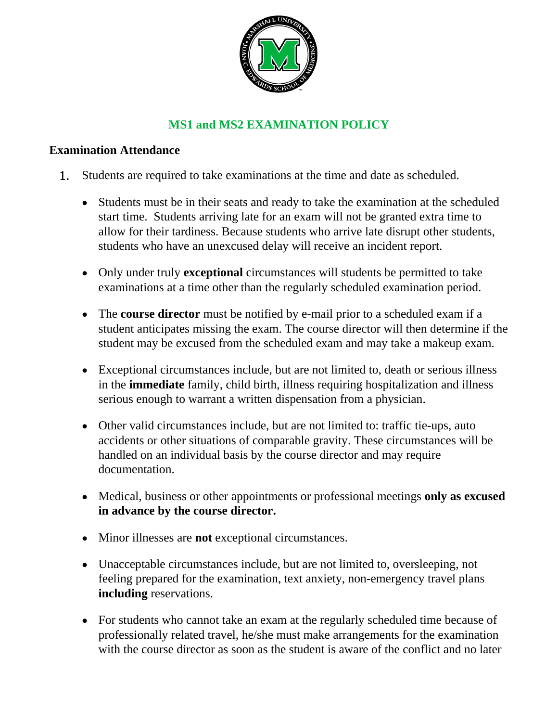

# **MS1 and MS2 EXAMINATION POLICY**

## **Examination Attendance**

- 1. Students are required to take examinations at the time and date as scheduled.
	- Students must be in their seats and ready to take the examination at the scheduled start time. Students arriving late for an exam will not be granted extra time to allow for their tardiness. Because students who arrive late disrupt other students, students who have an unexcused delay will receive an incident report.
	- Only under truly **exceptional** circumstances will students be permitted to take examinations at a time other than the regularly scheduled examination period.
	- The **course director** must be notified by e-mail prior to a scheduled exam if a student anticipates missing the exam. The course director will then determine if the student may be excused from the scheduled exam and may take a makeup exam.
	- Exceptional circumstances include, but are not limited to, death or serious illness in the **immediate** family, child birth, illness requiring hospitalization and illness serious enough to warrant a written dispensation from a physician.
	- Other valid circumstances include, but are not limited to: traffic tie-ups, auto accidents or other situations of comparable gravity. These circumstances will be handled on an individual basis by the course director and may require documentation.
	- Medical, business or other appointments or professional meetings **only as excused in advance by the course director.**
	- Minor illnesses are **not** exceptional circumstances.
	- Unacceptable circumstances include, but are not limited to, oversleeping, not feeling prepared for the examination, text anxiety, non-emergency travel plans **including** reservations.
	- For students who cannot take an exam at the regularly scheduled time because of professionally related travel, he/she must make arrangements for the examination with the course director as soon as the student is aware of the conflict and no later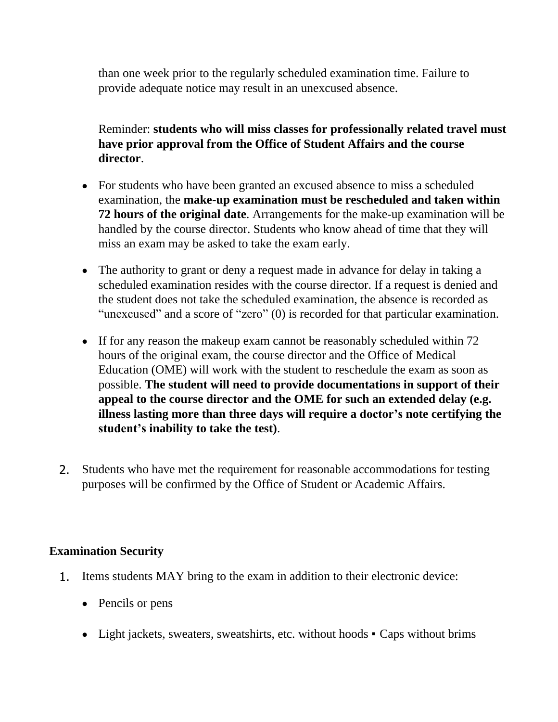than one week prior to the regularly scheduled examination time. Failure to provide adequate notice may result in an unexcused absence.

Reminder: **students who will miss classes for professionally related travel must have prior approval from the Office of Student Affairs and the course director**.

- For students who have been granted an excused absence to miss a scheduled examination, the **make-up examination must be rescheduled and taken within 72 hours of the original date**. Arrangements for the make-up examination will be handled by the course director. Students who know ahead of time that they will miss an exam may be asked to take the exam early.
- The authority to grant or deny a request made in advance for delay in taking a scheduled examination resides with the course director. If a request is denied and the student does not take the scheduled examination, the absence is recorded as "unexcused" and a score of "zero" (0) is recorded for that particular examination.
- If for any reason the makeup exam cannot be reasonably scheduled within 72 hours of the original exam, the course director and the Office of Medical Education (OME) will work with the student to reschedule the exam as soon as possible. **The student will need to provide documentations in support of their appeal to the course director and the OME for such an extended delay (e.g. illness lasting more than three days will require a doctor's note certifying the student's inability to take the test)**.
- 2. Students who have met the requirement for reasonable accommodations for testing purposes will be confirmed by the Office of Student or Academic Affairs.

#### **Examination Security**

- 1. Items students MAY bring to the exam in addition to their electronic device:
	- Pencils or pens
	- Light jackets, sweaters, sweatshirts, etc. without hoods Caps without brims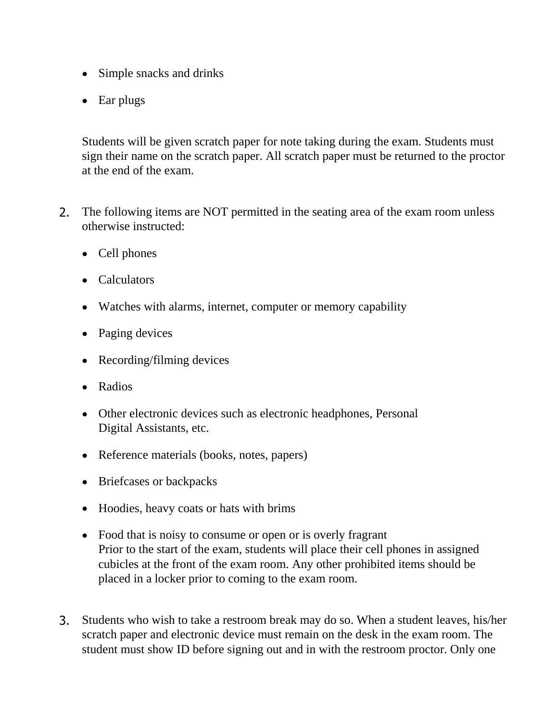- Simple snacks and drinks
- Ear plugs

Students will be given scratch paper for note taking during the exam. Students must sign their name on the scratch paper. All scratch paper must be returned to the proctor at the end of the exam.

- 2. The following items are NOT permitted in the seating area of the exam room unless otherwise instructed:
	- Cell phones
	- Calculators
	- Watches with alarms, internet, computer or memory capability
	- Paging devices
	- Recording/filming devices
	- Radios
	- Other electronic devices such as electronic headphones, Personal Digital Assistants, etc.
	- Reference materials (books, notes, papers)
	- Briefcases or backpacks
	- Hoodies, heavy coats or hats with brims
	- Food that is noisy to consume or open or is overly fragrant Prior to the start of the exam, students will place their cell phones in assigned cubicles at the front of the exam room. Any other prohibited items should be placed in a locker prior to coming to the exam room.
- 3. Students who wish to take a restroom break may do so. When a student leaves, his/her scratch paper and electronic device must remain on the desk in the exam room. The student must show ID before signing out and in with the restroom proctor. Only one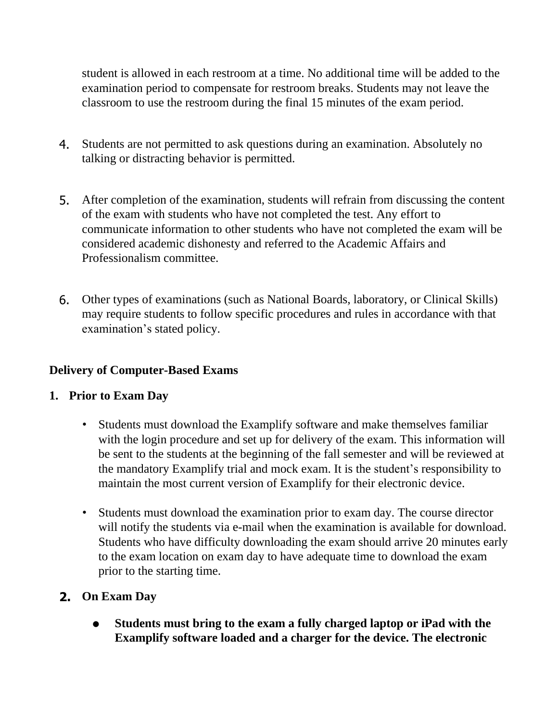student is allowed in each restroom at a time. No additional time will be added to the examination period to compensate for restroom breaks. Students may not leave the classroom to use the restroom during the final 15 minutes of the exam period.

- 4. Students are not permitted to ask questions during an examination. Absolutely no talking or distracting behavior is permitted.
- 5. After completion of the examination, students will refrain from discussing the content of the exam with students who have not completed the test. Any effort to communicate information to other students who have not completed the exam will be considered academic dishonesty and referred to the Academic Affairs and Professionalism committee.
- 6. Other types of examinations (such as National Boards, laboratory, or Clinical Skills) may require students to follow specific procedures and rules in accordance with that examination's stated policy.

## **Delivery of Computer-Based Exams**

## **1. Prior to Exam Day**

- Students must download the Examplify software and make themselves familiar with the login procedure and set up for delivery of the exam. This information will be sent to the students at the beginning of the fall semester and will be reviewed at the mandatory Examplify trial and mock exam. It is the student's responsibility to maintain the most current version of Examplify for their electronic device.
- Students must download the examination prior to exam day. The course director will notify the students via e-mail when the examination is available for download. Students who have difficulty downloading the exam should arrive 20 minutes early to the exam location on exam day to have adequate time to download the exam prior to the starting time.
- **2. On Exam Day**
	- **• Students must bring to the exam a fully charged laptop or iPad with the Examplify software loaded and a charger for the device. The electronic**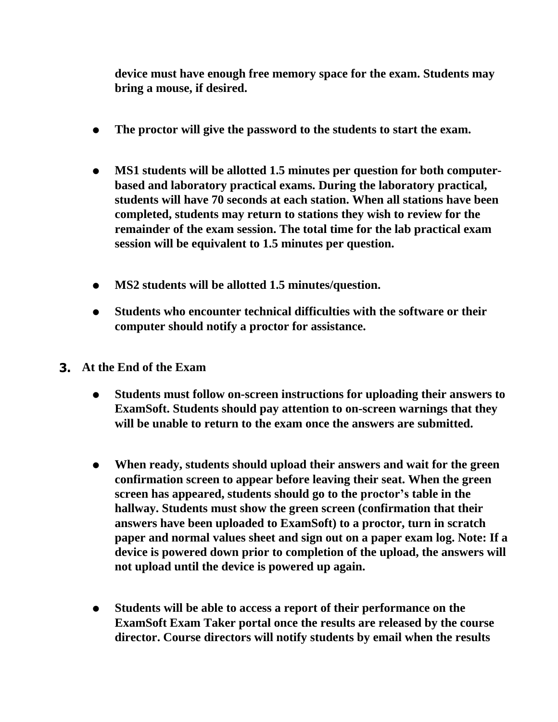**device must have enough free memory space for the exam. Students may bring a mouse, if desired.**

- **• The proctor will give the password to the students to start the exam.**
- **• MS1 students will be allotted 1.5 minutes per question for both computerbased and laboratory practical exams. During the laboratory practical, students will have 70 seconds at each station. When all stations have been completed, students may return to stations they wish to review for the remainder of the exam session. The total time for the lab practical exam session will be equivalent to 1.5 minutes per question.**
- **• MS2 students will be allotted 1.5 minutes/question.**
- **• Students who encounter technical difficulties with the software or their computer should notify a proctor for assistance.**
- **3. At the End of the Exam**
	- **• Students must follow on-screen instructions for uploading their answers to ExamSoft. Students should pay attention to on-screen warnings that they will be unable to return to the exam once the answers are submitted.**
	- **• When ready, students should upload their answers and wait for the green confirmation screen to appear before leaving their seat. When the green screen has appeared, students should go to the proctor's table in the hallway. Students must show the green screen (confirmation that their answers have been uploaded to ExamSoft) to a proctor, turn in scratch paper and normal values sheet and sign out on a paper exam log. Note: If a device is powered down prior to completion of the upload, the answers will not upload until the device is powered up again.**
	- **• Students will be able to access a report of their performance on the ExamSoft Exam Taker portal once the results are released by the course director. Course directors will notify students by email when the results**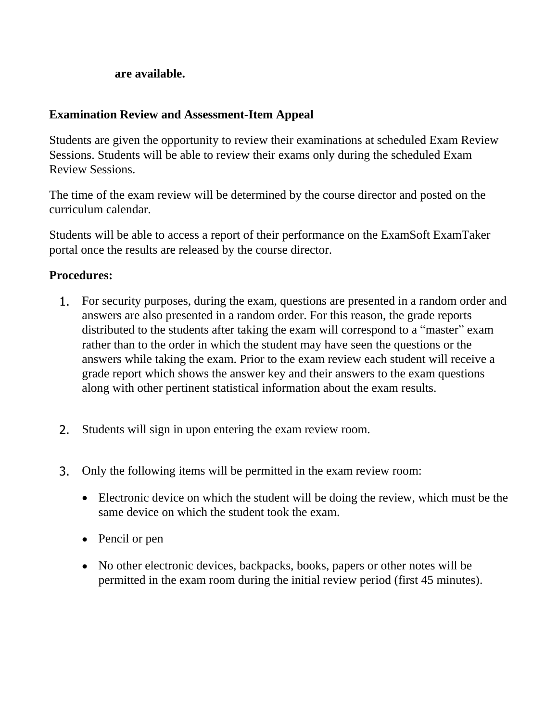#### **are available.**

#### **Examination Review and Assessment-Item Appeal**

Students are given the opportunity to review their examinations at scheduled Exam Review Sessions. Students will be able to review their exams only during the scheduled Exam Review Sessions.

The time of the exam review will be determined by the course director and posted on the curriculum calendar.

Students will be able to access a report of their performance on the ExamSoft ExamTaker portal once the results are released by the course director.

## **Procedures:**

- 1. For security purposes, during the exam, questions are presented in a random order and answers are also presented in a random order. For this reason, the grade reports distributed to the students after taking the exam will correspond to a "master" exam rather than to the order in which the student may have seen the questions or the answers while taking the exam. Prior to the exam review each student will receive a grade report which shows the answer key and their answers to the exam questions along with other pertinent statistical information about the exam results.
- 2. Students will sign in upon entering the exam review room.
- 3. Only the following items will be permitted in the exam review room:
	- Electronic device on which the student will be doing the review, which must be the same device on which the student took the exam.
	- Pencil or pen
	- No other electronic devices, backpacks, books, papers or other notes will be permitted in the exam room during the initial review period (first 45 minutes).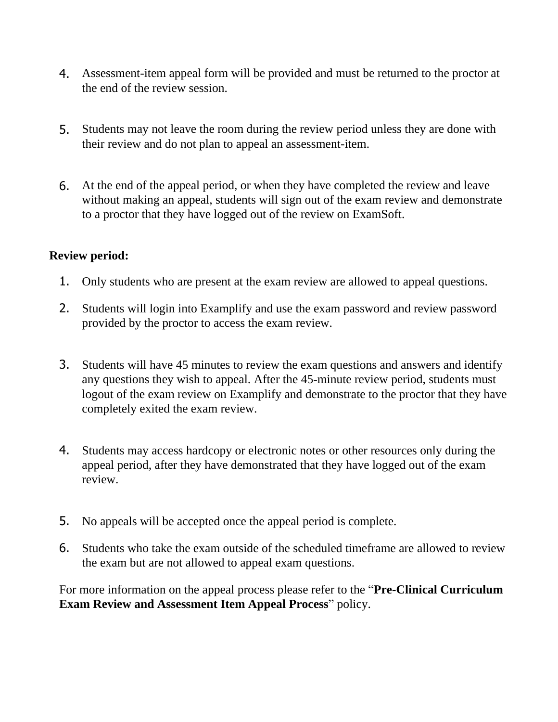- 4. Assessment-item appeal form will be provided and must be returned to the proctor at the end of the review session.
- 5. Students may not leave the room during the review period unless they are done with their review and do not plan to appeal an assessment-item.
- 6. At the end of the appeal period, or when they have completed the review and leave without making an appeal, students will sign out of the exam review and demonstrate to a proctor that they have logged out of the review on ExamSoft.

## **Review period:**

- 1. Only students who are present at the exam review are allowed to appeal questions.
- 2. Students will login into Examplify and use the exam password and review password provided by the proctor to access the exam review.
- 3. Students will have 45 minutes to review the exam questions and answers and identify any questions they wish to appeal. After the 45-minute review period, students must logout of the exam review on Examplify and demonstrate to the proctor that they have completely exited the exam review.
- 4. Students may access hardcopy or electronic notes or other resources only during the appeal period, after they have demonstrated that they have logged out of the exam review.
- 5. No appeals will be accepted once the appeal period is complete.
- 6. Students who take the exam outside of the scheduled timeframe are allowed to review the exam but are not allowed to appeal exam questions.

For more information on the appeal process please refer to the "**Pre-Clinical Curriculum Exam Review and Assessment Item Appeal Process**" policy.